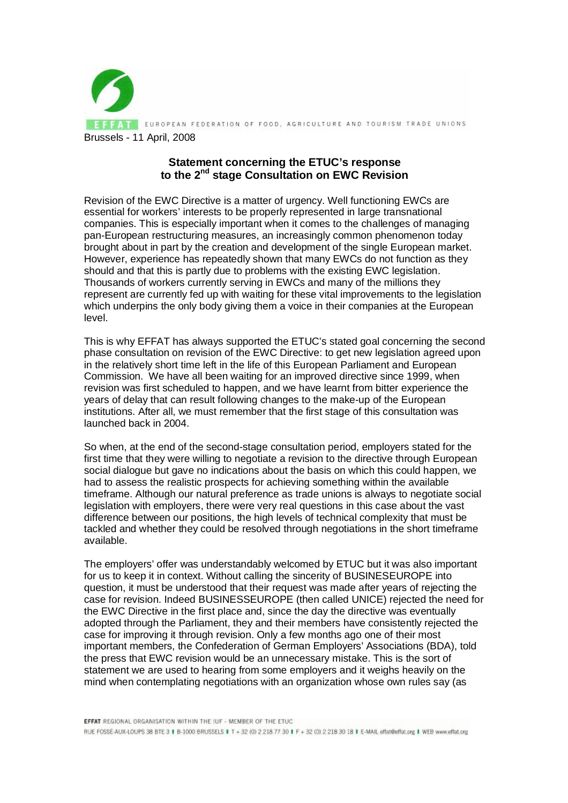

## **Statement concerning the ETUC's response to the 2nd stage Consultation on EWC Revision**

Revision of the EWC Directive is a matter of urgency. Well functioning EWCs are essential for workers' interests to be properly represented in large transnational companies. This is especially important when it comes to the challenges of managing pan-European restructuring measures, an increasingly common phenomenon today brought about in part by the creation and development of the single European market. However, experience has repeatedly shown that many EWCs do not function as they should and that this is partly due to problems with the existing EWC legislation. Thousands of workers currently serving in EWCs and many of the millions they represent are currently fed up with waiting for these vital improvements to the legislation which underpins the only body giving them a voice in their companies at the European level.

This is why EFFAT has always supported the ETUC's stated goal concerning the second phase consultation on revision of the EWC Directive: to get new legislation agreed upon in the relatively short time left in the life of this European Parliament and European Commission. We have all been waiting for an improved directive since 1999, when revision was first scheduled to happen, and we have learnt from bitter experience the years of delay that can result following changes to the make-up of the European institutions. After all, we must remember that the first stage of this consultation was launched back in 2004.

So when, at the end of the second-stage consultation period, employers stated for the first time that they were willing to negotiate a revision to the directive through European social dialogue but gave no indications about the basis on which this could happen, we had to assess the realistic prospects for achieving something within the available timeframe. Although our natural preference as trade unions is always to negotiate social legislation with employers, there were very real questions in this case about the vast difference between our positions, the high levels of technical complexity that must be tackled and whether they could be resolved through negotiations in the short timeframe available.

The employers' offer was understandably welcomed by ETUC but it was also important for us to keep it in context. Without calling the sincerity of BUSINESEUROPE into question, it must be understood that their request was made after years of rejecting the case for revision. Indeed BUSINESSEUROPE (then called UNICE) rejected the need for the EWC Directive in the first place and, since the day the directive was eventually adopted through the Parliament, they and their members have consistently rejected the case for improving it through revision. Only a few months ago one of their most important members, the Confederation of German Employers' Associations (BDA), told the press that EWC revision would be an unnecessary mistake. This is the sort of statement we are used to hearing from some employers and it weighs heavily on the mind when contemplating negotiations with an organization whose own rules say (as